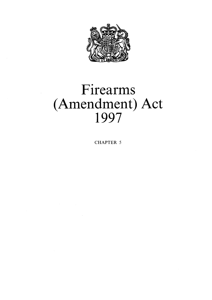

# Firearms (Amendment) Act 1997

CHAPTER 5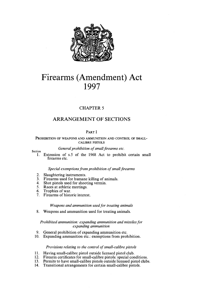

## Firearms (Amendment) Act 1997

#### CHAPTER 5

### ARRANGEMENT OF SECTIONS

#### PART I

PROHIBITION OF WEAPONS AND AMMUNITION AND CONTROL OF SMALL-CALIBRE PISTOLS

#### General prohibition of small firearms etc.

Section

1. Extension of s.5 of the 1968 Act to prohibit certain small firearms etc.

#### Special exemptions from prohibition of small firearms

- 2. Slaughtering instruments.<br>3. Firearms used for humane
- Firearms used for humane killing of animals.
- 4. Shot pistols used for shooting vermin.
- 5. Races at athletic meetings.
- 6. Trophies of war.
- 7. Firearms of historic interest.

#### Weapons and ammunition used for treating animals

8. Weapons and ammunition used for treating animals.

#### Prohibited ammunition: expanding ammunition and missiles for expanding ammunition

- 9. General prohibition of expanding ammunition etc.
- 10. Expanding ammunition etc.: exemptions from prohibition.

#### Provisions relating to the control of small-calibre pistols

- 11. Having small-calibre pistol outside licensed pistol club.
- 12. Firearm certificates for small-calibre pistols: special conditions.
- 13. Permits to have small-calibre pistols outside licensed pistol clubs.<br>14. Transitional arrangements for certain small-calibre pistols.
- Transitional arrangements for certain small-calibre pistols.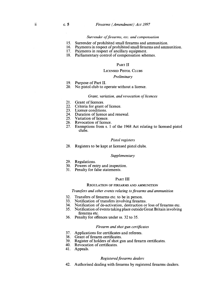#### Surrender of firearms, etc. and compensation

- 15. Surrender of prohibited small firearms and ammunition.<br>16. Payments in respect of prohibited small firearms and amm
- Payments in respect of prohibited small firearms and ammunition.
	- 17. Payments in respect of ancillary equipment.<br>18. Parliamentary control of compensation sche
	- Parliamentary control of compensation schemes.

#### PART II

#### LICENSED PISTOL CLUBS

#### Preliminary

- 19. Purpose of Part II.
- 20. No pistol club to operate without a licence.

#### Grant, variation, and revocation of licences

- 21. Grant of licences.<br>22. Criteria for grant
- 22. Criteria for grant of licence.<br>23. Licence conditions.
- 23. Licence conditions.<br>24. Duration of licence
- 24. Duration of licence and renewal.<br>25. Variation of licence.
- 25. Variation of licence.<br>26. Revocation of licenc
- 26. Revocation of licence.<br>27. Exemptions from s. 1
- Exemptions from s. 1 of the 1968 Act relating to licensed pistol clubs.

#### Pistol registers

28. Registers to be kept at licensed pistol clubs.

#### **Supplementary**

- 29. Regulations.
- 30. Powers of entry and inspection.
- 31. Penalty for false statements.

#### PART III

#### REGULATION OF FIREARMS AND AMMUNITION

#### Transfers and other events relating to firearms and ammunition

- 32. Transfers of firearms etc. to be in person.<br>33. Notification of transfers involving firearm
- 33. Notification of transfers involving firearms.<br>34. Notification of de-activation, destruction or
- 34. Notification of de-activation, destruction or loss of firearms etc.<br>35. Notification of events taking place outside Great Britain involving
- 35. Notification of events taking place outside Great Britain involving
	- firearms etc.
- 36. Penalty for offences under ss. 32 to 35.

#### Firearm and shot gun certificates

- 37. Applications for certificates and referees.
- 38. Grant of firearm certificates.<br>39. Register of holders of shot gi
- 39. Register of holders of shot gun and firearm certificates.
- 40. Revocation of certificates.<br>41. Appeals.
- Appeals.

#### Registered firearms dealers

42. Authorised dealing with firearms by registered firearms dealers.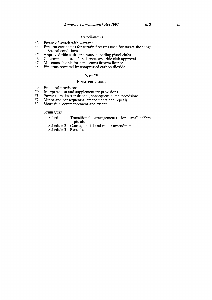#### Miscellaneous

- 43. Power of search with warrant.<br>44. Firearm certificates for certain
- Firearm certificates for certain firearms used for target shooting: Special conditions.
- 45. Approved rifle clubs and muzzle-loading pistol clubs.
- 46. Coterminous pistol club licences and rifle club approvals.
- 47. Museums eligible for a museums firearm licence.
- 48. Firearms powered by compressed carbon dioxide.

#### PART IV

#### FINAL PROVISIONS

- 49. Financial provisions.<br>50. Interpretation and su
- 50. Interpretation and supplementary provisions.
- 51. Power to make transitional, consequential etc. provisions.
- 52. Minor and consequential amendments and repeals.<br>53. Short title, commencement and extent.
- Short title, commencement and extent.

#### SCHEDULES:

Schedule 1—Transitional arrangements for small-calibre pistols.

Schedule 2—Consequential and minor amendments. Schedule 3—Repeals.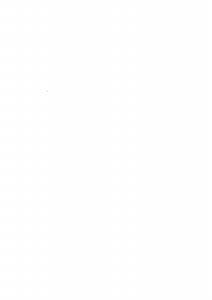$\label{eq:2.1} \frac{1}{\sqrt{2}}\left(\frac{1}{\sqrt{2}}\right)^{2} \left(\frac{1}{\sqrt{2}}\right)^{2} \left(\frac{1}{\sqrt{2}}\right)^{2} \left(\frac{1}{\sqrt{2}}\right)^{2} \left(\frac{1}{\sqrt{2}}\right)^{2} \left(\frac{1}{\sqrt{2}}\right)^{2} \left(\frac{1}{\sqrt{2}}\right)^{2} \left(\frac{1}{\sqrt{2}}\right)^{2} \left(\frac{1}{\sqrt{2}}\right)^{2} \left(\frac{1}{\sqrt{2}}\right)^{2} \left(\frac{1}{\sqrt{2}}\right)^{2} \left(\$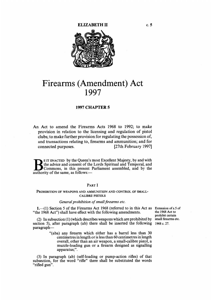

## Firearms (Amendment) Act 1997

#### 1997 CHAPTER 5

An Act to amend the Firearms Acts 1968 to 1992; to make provision in relation to the licensing and regulation of pistol clubs; to make further provision for regulating the possession of, and transactions relating to, firearms and ammunition; and for connected purposes. [27th February 1997]

**B ETT ENACTED by the Queen's most Excellent Majesty, by and with the advice and consent of the Lords Spiritual and Temporal, and Commons, in this present Parliament assembled, and by the authority of the same as follows:** the advice and consent of the Lords Spiritual and Temporal, and authority of the same, as follows:—

#### PART I

#### PROHIBITION OF WEAPONS AND AMMUNITION AND CONTROL OF SMALL-CALIBRE PISTOLS

#### General prohibition of small firearms etc.

1.—(1) Section 5 of the Firearms Act 1968 (referred to in this Act as Extension of s.5 of "the 1968 Act") shall have effect with the following amendments.

(2) In subsection (1) (which describes weapons which are prohibited by section 5), after paragraph (ab) there shall be inserted the following 1968 c. 27. paragraph—

> "(aba) any firearm which either has a barrel less than 30 centimetres in length or is less than 60 centimetres in length overall, other than an air weapon, a small-calibre pistol, a muzzle-loading gun or a firearm designed as signalling apparatus;".

(3) In paragraph (ab) (self-loading or pump-action rifles) of that subsection, for the word "rifle" there shall be substituted the words "rifled gun".

the 1968 Act to prohibit certain small firearms etc.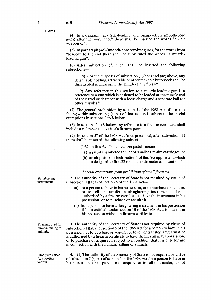(4) In paragraph (ac) (self-loading and pump-action smooth-bore guns) after the word "not" there shall be inserted the words "an air weapon or".

(5) In paragraph (ad) (smooth-bore revolver guns), for the words from "loaded" to the end there shall be substituted the words "a muzzleloading gun".

(6) After subsection (7) there shall be inserted the following subsections—

"(8) For the purposes of subsection  $(1)(aba)$  and  $(ac)$  above, any detachable, folding, retractable or other movable butt-stock shall be disregarded in measuring the length of any firearm.

(9) Any reference in this section to a muzzle-loading gun is a reference to a gun which is designed to be loaded at the muzzle end of the barrel or chamber with a loose charge and a separate ball (or other missile)."

(7) The general prohibition by section 5 of the 1968 Act of firearms falling within subsection (1)(aba) of that section is subject to the special exemptions in sections 2 to 8 below.

(8) In sections 2 to 8 below any reference to a firearm certificate shall include a reference to a visitor's firearm permit.

(9) In section 57 of the 1968 Act (interpretation), after subsection (1) there shall be inserted the following subsection—

"(1A) In this Act "small-calibre pistol" means—

- (a) a pistol chambered for .22 or smaller rim-fire cartridges; or
- (b) an air pistol to which section 1 of this Act applies and which is designed to fire .22 or smaller diameter ammunition."

#### Special exemptions from prohibition of small firearms

Slaughtering 2. The authority of the Secretary of State is not required by virtue of instruments. subsection  $(1)(aba)$  of section 5 of the 1968 Act subsection (1)(aba) of section 5 of the 1968 Act—

- (a) for a person to have in his possession, or to purchase or acquire, or to sell or transfer, a slaughtering instrument if he is authorised by a firearm certificate to have the instrument in his possession, or to purchase or acquire it;
- (b) for a person to have a slaughtering instrument in his possession if he is entitled, under section 10 of the 1968 Act, to have it in his possession without a firearm certificate.

Firearms used for 3. The authority of the Secretary of State is not required by virtue of humane killing of subsection (1)(aba) of section 5 of the 1968 Act for a person to have in his humane killing of subsection  $(1)(aba)$  of section 5 of the 1968 Act for a person to have in his<br>animals. possession, or to purchase or acquire, or to sell or transfer, a firearm if he is authorised by a firearm certificate to have the firearm in his possession, or to purchase or acquire it, subject to a condition that it is only for use in connection with the humane killing of animals.

Shot pistols used 4.—(1) The authority of the Secretary of State is not required by virtue<br>for shooting of subsection (1)(aba) of section 5 of the 1968 Act for a person to have in for shooting of subsection (1)(aba) of section 5 of the 1968 Act for a person to have in<br>vermin. his possession, or to purchase or acquire, or to sell or transfer, a shot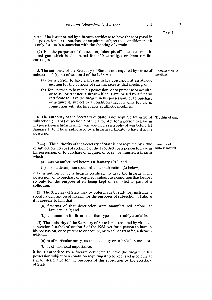pistol if he is authorised by a firearm certificate to have the shot pistol in his possession, or to purchase or acquire it, subject to a condition that it is only for use in connection with the shooting of vermin.

(2) For the purposes of this section, "shot pistol" means a smoothbored gun which is chambered for .410 cartridges or 9mm rim-fire cartridges.

5. The authority of the Secretary of State is not required by virtue of Races at athletic basection  $(1)(aba)$  of section 5 of the 1968 Act— meetings. subsection  $(1)(aba)$  of section 5 of the 1968 Act-

- (a) for a person to have a firearm in his possession at an athletic meeting for the purpose of starting races at that meeting; or
- (b) for a person to have in his possession, or to purchase or acquire, or to sell or transfer, a firearm if he is authorised by a firearm certificate to have the firearm in his possession, or to purchase or acquire it, subject to a condition that it is only for use in connection with starting races at athletic meetings.

6. The authority of the Secretary of State is not required by virtue of Trophies of war. subsection (1)(aba) of section 5 of the 1968 Act for a person to have in his possession a firearm which was acquired as a trophy of war before 1st January 1946 if he is authorised by a firearm certificate to have it in his possession.

7.—(1) The authority of the Secretary of State is not required by virtue Firearms of subsection  $(1)(ab)$  of section 5 of the 1968 Act for a person to have in historic interest. of subsection  $(1)(aba)$  of section 5 of the 1968 Act for a person to have in his possession, or to purchase or acquire, or to sell or transfer, a firearm which-

(a) was manufactured before 1St January 1919; and

(b) is of a description specified under subsection (2) below,

if he is authorised by a firearm certificate to have the firearm in his possession, or to purchase or acquire it, subject to a condition that he does so only for the purpose of its being kept or exhibited as part of a collection.

(2) The Secretary of State may by order made by statutory instrument specify a description of firearm for the purposes of subsection (1) above if it appears to him that—

- (a) firearms of that description were manufactured before 1st January 1919; and
- (b) ammunition for firearms of that type is not readily available.

(3) The authority of the Secretary of State is not required by virtue of subsection (1)(aba) of section 5 of the 1968 Act for a person to have in his possession, or to purchase or acquire, or to sell or transfer, a firearm which—

(a) is of particular rarity, aesthetic quality or technical interest, or

(b) is of historical importance,

if he is authorised by a firearm certificate to have the firearm in his possession subject to a condition requiring it to be kept and used only at a place designated for the purposes of this subsection by the Secretary of State.

PART I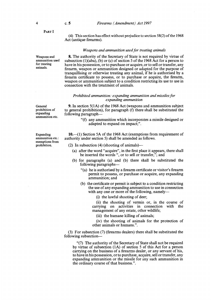(4) This section has effect without prejudice to section 58(2) of the 1968 Act (antique firearms).

#### Weapons and ammunition used for treating animals

Weapons and **8.** The authority of the Secretary of State is not required by virtue of ammunition used subsection  $(1)(aba)$ . (b) or (c) of section 5 of the 1968 Act for a person to ammunition used subsection  $(1)(aba)$ ,  $(b)$  or  $(c)$  of section 5 of the 1968 Act for a person to for treating have in his possession or to purchase or acquire or to sell or transfer any for treating have in his possession, or to purchase or acquire, or to sell or transfer, any animals firearm, weapon or ammunition designed or adapted for the purpose of tranquillising or otherwise treating any animal, if he is authorised by a firearm certificate to possess, or to purchase or acquire, the firearm, weapon or ammunition subject to a condition restricting its use to use in connection with the treatment of animals.

#### Prohibited ammunition: expanding ammunition and missiles for expanding ammunition

General 9. In section  $5(1A)$  of the 1968 Act (weapons and ammunition subject prohibition of to general prohibition), for paragraph (f) there shall be substituted the prohibition of to general prohibition), for paragraph (f) there shall be substituted the expanding following paragraph following paragraph—

> "(f) any ammunition which incorporates a missile designed or adapted to expand on impact;".

Expanding 10.—(1) Section 5A of the 1968 Act (exemptions from requirement of ammunition etc.: authority under section 5) shall be amended as follows. authority under section 5) shall be amended as follows.

- (2) In subsection (4) (shooting of animals)—
	- (a) after the word "acquire", in the first place it appears, there shall be inserted the words ", or to sell or transfer,"; and
	- (b) for paragraphs (a) and (b) there shall be substituted the following paragraphs—
		- "(a) he is authorised by a firearm certificate or visitor's firearm permit to possess, or purchase or acquire, any expanding ammunition; and
		- (b) the certificate or permit is subject to a condition restricting the use of any expanding ammunition to use in connection with any one or more of the following, namely—
			- (i) the lawful shooting of deer;

(ii) the shooting of vermin or, in the course of carrying on activities in connection with the management of any estate, other wildlife;

(iii) the humane killing of animals;

(iv) the shooting of animals for the protection of other animals or humans.".

(3) For subsection (7) (firearms dealers) there shall be substituted the following subsection—

"(7) The authority of the Secretary of State shall not be required by virtue of subsection (1A) of section 5 of this Act for a person carrying on the business of a firearms dealer, or any servant of his, to have in his possession, or to purchase, acquire, sell or transfer, any expanding ammunition or the missile for any such ammunition in the ordinary course of that business.".

ammunition etc.

exemptions from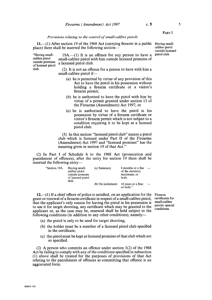#### Provisions relating to the control of small-calibre pistols

11.—(1) After section 19 of the 1968 Act (carrying firearm in a public Having small-<br>ace) there shall be inserted the following section place) there shall be inserted the following section—

outside premises a licensed pistol club.<br>
club. (2) It is not an offer

"Having small-  $19A$ .—(1) It is an offence for any person to have a calibre pistol small-calibre pistol with him outside licensed premises of calibre pistol small-calibre pistol with him outside licensed premises of outside premises of licensed prior of links

> $(2)$  It is not an offence for a person to have with him a small-calibre pistol if—

- (a) he is permitted by virtue of any provision of this Act to have the pistol in his possession without holding a firearm certificate or a visitor's firearm permit;
- (b) he is authorised to have the pistol with him by virtue of a permit granted under section 13 of the Firearms (Amendment) Act 1997; or
- (c) he is authorised to have the pistol in his possession by virtue of a firearm certificate or visitor's firearm permit which is not subject to a condition requiring it to be kept at a licensed pistol club.

(3) In this section "licensed pistol club" means a pistol club which is licensed under Part II of the Firearms (Amendment) Act 1997 and "licensed premises" has the meaning given in section 19 of that Act."

(2) In Part I of Schedule 6 to the 1968 Act (prosecution and punishment of offences), after the entry for section 19 there shall be inserted the following entry—

| "Section 19A. | Having small-<br>calibre pistol<br>outside premises<br>of licensed pistol | (a) Summary                             | 6 months or a fine<br>of the statutory<br>maximum; or<br>both. |  |
|---------------|---------------------------------------------------------------------------|-----------------------------------------|----------------------------------------------------------------|--|
|               | club.                                                                     | $(b)$ On indictment 10 years or a fine: | or both."                                                      |  |

12.—(1) If a chief officer of police is satisfied, on an application for the Firearm cant or renewal of a firearm certificate in respect of a small-calibre pistol certificates for grant or renewal of a firearm certificate in respect of a small-calibre pistol, certificates for that the applicant's only reason for having the pistol in his possession is small-calibre that the applicant's only reason for having the pistol in his possession is small-calibre<br>to use it for target shooting, any certificate which may be granted to the pistols: special to use it for target shooting, any certificate which may be granted to the pistols: specialized to the pistols: specialized to the pistols: specialized to the pistols: specialized to the pistols: specialized to the pistol applicant or, as the case may be, renewed shall be held subject to the following conditions (in addition to any other conditions), namely—

- (a) the pistol is only to be used for target shooting;
- (b) the holder must be a member of a licensed pistol club specified in the certificate;
- (c) the pistol must be kept at licensed premises of that club which are so specified.

(2) A person who commits an offence under section 1(2) of the 1968 Act by failing to comply with any of the conditions specified in subsection (1) above shall be treated for the purposes of provisions of that Act relating to the punishment of offences as committing that offence in an aggravated form.

303219 A\*2

PART I

outside licensed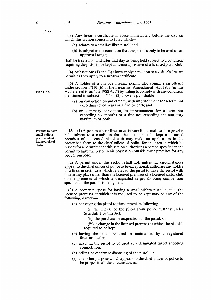(3) Any firearm certificate in force immediately before the day on which this section comes into force which-

- (a) relates to a small-calibre pistol; and
- (b) is subject to the condition that the pistol is only to be used on an approved range;

shall be treated on and after that day as being held subject to a condition requiring the pistol to be kept at licensed premises of a licensed pistol club.

(4) Subsections (1) and (3) above apply in relation to a visitor's firearm permit as they apply to a firearm certificate.

(5) A holder of a visitor's firearm permit who commits an offence under section 17(10)(b) of the Firearms (Amendment) Act 1988 (in this <sup>1988</sup>c. 45. Act referred to as "the 1988 Act") by failing to comply with any condition mentioned in subsection  $(1)$  or  $(3)$  above is punishable—

- (a) on conviction on indictment, with imprisonment for a term not exceeding seven years or a fine or both; and
- (b) on summary conviction, to imprisonment for a term not exceeding six months or a fine not exceeding the statutory maximum or both.

Permits to have  $13.-(1)$  A person whose firearm certificate for a small-calibre pistol is small-calibre pistol small-calibre pistol small-calibre small-calibre held subject to a condition that the pistol must be kept at licensed pistols outside premises of a licensed pistol club may make an application in the pistols outside premises of a licensed pistol club may make an application in the licensed pistol prescribed form to the chief officer of police for the area in which he clubs. resides for a permit under this section authorising a person specified in the permit to have the pistol in his possession outside those premises for any proper purpose.

> (2) A permit under this section shall not, unless the circumstances appear to the chief officer of police to be exceptional, authorise any holder of a firearm certificate which relates to the pistol to have the pistol with him in any place other than the licensed premises of a licensed pistol club or the premises at which a designated target shooting competition specified in the permit is being held.

> (3) A proper purpose for having a small-calibre pistol outside the licensed premises at which it is required to be kept may be any of the following, namely—

(a) conveying the pistol to those premises following—

(i) the release of the pistol from police custody under Schedule 1 to this Act;

(ii) the purchase or acquisition of the pistol; or

(iii) a change in the licensed premises at which the pistol is required to be kept;

- (b) having the pistol repaired or maintained by a registered firearms dealer;
- (c) enabling the pistol to be used at a designated target shooting competition;
- (d) selling or otherwise disposing of the pistol; or
- (e) any other purpose which appears to the chief officer of police to be proper in all the circumstances.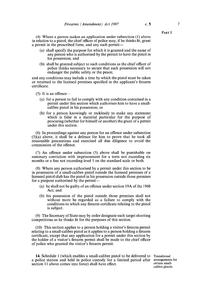(4) Where a person makes an application under subsection (1) above in relation to a pistol, the chief officer of police may, if he thinks fit, grant a permit in the prescribed form; and any such permit—

- (a) shall specify the purpose for which it is granted and the name of any person who is authorised by the permit to have the pistol in his possession; and
- (b) shall be granted subject to such conditions as the chief officer of police thinks necessary to secure that such possession will not endanger the public safety or the peace;

and any conditions may include a time by which the pistol must be taken or returned to the licensed premises specified in the applicant's firearm certificate.

- (5) It is an offence—
	- (a) for a person to fail to comply with any condition contained in a permit under this section which authorises him to have a smallcalibre pistol in his possession; or
	- (b) for a person knowingly or recklessly to make any statement which is false in a material particular for the purpose of procuring (whether for himself or another) the grant of a permit under this section.

(6) In proceedings against any person for an offence under subsection (5)(a) above, it shall be a defence for him to prove that he took all reasonable precautions and exercised all due diligence to avoid the commission of the offence.

(7) An offence under subsection (5) above shall be punishable on summary conviction with imprisonment for a term not exceeding six months or a fine not exceeding level 5 on the standard scale or both.

(8) Where any person authorised by a permit under this section to be in possession of a small-calibre pistol outside the licensed premises of a licensed pistol club has the pistol in his possession outside those premises for a purpose authorised by the permit—

- (a) he shall not be guilty of an offence under section 19A of the 1968 Act; and
- (b) his possession of the pistol outside those premises shall not without more be regarded as a failure to comply with the conditions to which any firearm certificate relating to the pistol is subject.

(9) The Secretary of State may by order designate such target shooting competitions as he thinks fit for the purposes of this section.

(10) This section applies to a person holding a visitor's firearm permit relating to a small-calibre pistol as it applies to a person holding a firearm certificate, except that any application for a permit under this section by the holder of a visitor's firearm permit shall be made to the chief officer of police who granted the visitor's firearm permit.

14. Schedule 1 (which enables a small-calibre pistol to be delivered to Transitional police station and held in police custody for a limited period after arrangements for a police station and held in police custody for a limited period after arrangements section 11 above comes into force) shall have effect certain smallsection 11 above comes into force) shall have effect.

calibre pistols.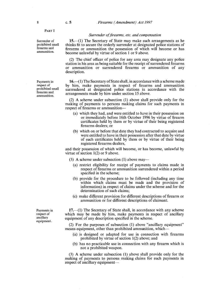Surrender of firearms, etc. and compensation

Surrender of  $15.-(1)$  The Secretary of State may make such arrangements as he prohibited small thinks fit to secure the orderly surrender at designated police stations of prohibited small thinks fit to secure the orderly surrender at designated police stations of firecarms and firecarms or ammunition the possession of which will become or has firearms and firearms or ammunition the possession of which will become or has ammunition. become unlawful by virtue of section 1 or 9 above.

> (2) The chief officer of police for any area may designate any police station in his area as being suitable for the receipt of surrendered firearms or ammunition or surrendered firearms or ammunition of any description.

Payments in  $16.-(1)$  The Secretary of State shall, in accordance with a scheme made<br>respect of the payments in respect of firearms and ammunition respect of by him, make payments in respect of firearms and ammunition prohibited small surrendered at designated police stations in accordance with the prohibited small surrendered at designated police stations in accordance with the firearms and arrangements made by him under section 15 above.

> (2) A scheme under subsection (1) above shall provide only for the making of payments to persons making claims for such payments in respect of firearms or ammunition-

- (a) which they had, and were entitled to have in their possession on or immediately before 16th October 1996 by virtue of firearm certificates held by them or by virtue of their being registered firearms dealers; or
- (b) which on or before that date they had contracted to acquire and were entitled to have in their possession after that date by virtue of such certificates held by them or by virtue of their being registered firearms dealers,

and their possession of which will become, or has become, unlawful by virtue of section 1(2) or 9 above.

- (3) A scheme under subsection (1) above may—
	- (a) restrict eligibility for receipt of payments to claims made in respect of firearms or ammunition surrendered within a period specified in the scheme;
	- (b) provide for the procedure to be followed (including any time within which claims must be made and the provision of information) in respect of claims under the scheme and for the determination of such claims;
	- (c) make different provision for different descriptions of firearm or ammunition or for different descriptions of claimant.

equipment.

Payments in 17.—(1) The Secretary of State shall, in accordance with any scheme respect of which may be made by him, make payments in respect of ancillary respect of which may be made by him, make payments in respect of ancillary ancillary<br>ancillary equipment of any description specified in the scheme equipment of any description specified in the scheme.

> (2) For the purposes of subsection (1) above "ancillary equipment" means equipment, other than prohibited ammunition, which—

- (a) is designed or adapted for use in connection with firearms prohibited by virtue of section 1(2) above; and
- (b) has no practicable use in connection with any firearm which is not a prohibited weapon.

(3) A scheme under subsection (1) above shall provide only for the making of payments to persons making claims for such payments in respect of ancillary equipment—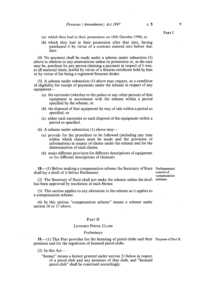- (a) which they had in their possession on 16th October 1996; or
- (b) which they had in their possession after that date, having purchased it by virtue of a contract entered into before that date.

(4) No payment shall be made under a scheme under subsection (1) above in relation to any ammunition unless its possession or, as the case may be, purchase by any person claiming a payment in respect of it was, at all material times, lawful by virtue of a firearm certificate held by him or by virtue of his being a registered firearms dealer.

(5) A scheme under subsection (1) above may require, as a condition of eligibility for receipt of payments under the scheme in respect of any equipment—

- (a) the surrender (whether to the police or any other person) of that equipment in accordance with the scheme within a period specified by the scheme; or
- (b) the disposal of that equipment by way of sale within a period so specified; or
- (c) either such surrender or such disposal of the equipment within a period so specified.
- (6) A scheme under subsection (1) above may—
	- (a) provide for the procedure to be followed (including any time within which claims must be made and the provision of information) in respect of claims under the scheme and for the determination of such claims;
	- (b) make different provision for different descriptions of equipment or for different descriptions of claimant.

18.—(1) Before making a compensation scheme the Secretary of State Parliamentary all lay a draft of it before Parliament shall lay a draft of it before Parliament.

(2) The Secretary of State shall not make the scheme unless the draft schemes. has been approved by resolution of each House.

(3) This section applies to any alteration to the scheme as it applies to a compensation scheme.

(4) In this section "compensation scheme" means a scheme under section 16 or 17 above.

#### PART II

#### LICENSED PISTOL CLUBS

#### Preliminary

19.—(1) This Part provides for the licensing of pistol clubs and their Purpose of Part II. premises and for the regulation of licensed pistol clubs.

(2) In this Act—

"licence" means a licence granted under section 21 below in respect of a pistol club and any premises of that club; and "licensed pistol club" shall be construed accordingly.

compensation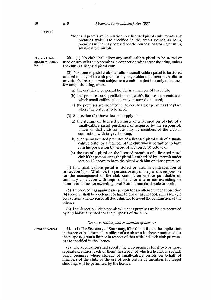"licensed premises", in relation to a licensed pistol club, means any premises which are specified in the club's licence as being premises which may be used for the purpose of storing or using small-calibre pistols.

No pistol club to 20.—(1) No club shall allow any small-calibre pistol to be stored or operate without a used on any of its club premises in connection with target shooting, unless the club is a licensed pistol club.

> (2) No licensed pistol club shall allow a small-calibre pistol to be stored or used on any of its club premises by any holder of a firearm certificate or visitor's firearm permit subject to a condition that it is only to be used for target shooting, unless—

- (a) the certificate or permit holder is a member of that club;
- (b) the premises are specified in the club's licence as premises at which small-calibre pistols may be stored and used;
- (c) the premises are specified in the certificate or permit as the place where the pistol is to be kept.

(3) Subsection (2) above does not apply to—

- (a) the storage on licensed premises of a licensed pistol club of a small-calibre pistol purchased or acquired by the responsible officer of that club for use only by members of the club in connection with target shooting;
- (b) the use on licensed premises of a licensed pistol club of a smallcalibre pistol by a member of the club who is permitted to have it in his possession by virtue of section 27(3) below; or
- (c) the use of a pistol on the licensed premises of a licensed pistol club if the person using the pistol is authorised by a permit under section 13 above to have the pistol with him on those premises.

(4) If a small-calibre pistol is stored or used in contravention of subsection (1) or (2) above, the persons or any of the persons responsible for the management of the club commit an offence punishable on summary conviction with imprisonment for a term not exceeding six months or a fine not exceeding level 5 on the standard scale or both.

(5) In proceedings against any person for an offence under subsection (4) above, it shall be a defence for him to prove that he took all reasonable precautions and exercised all due diligence to avoid the commission of the offence.

(6) In this section "club premises" means premises which are occupied by and habitually used for the purposes of the club.

#### Grant, variation, and revocation of licences

Grant of licences. 21.—(1) The Secretary of State may, if he thinks fit, on the application in the prescribed form of an officer of a club who has been nominated for the purpose, grant a licence in respect of that club and such club premises as are specified in the licence.

> (2) The application shall specify the club premises (or if two or more separate premises, each of them) in respect of which a licence is sought, being premises where storage of small-calibre pistols on behalf of members of the club, or the use of such pistols by members for target shooting, will be permitted by the licence.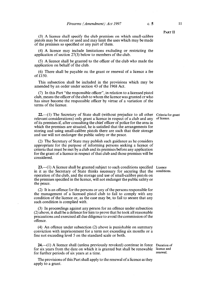(3) A licence shall specify the club premises on which small-calibre pistols may be stored or used and may limit the uses which may be made of the premises so specified or any part of them.

(4) A licence may include limitations excluding or restricting the application of section 27(3) below to members of the club.

(5) A licence shall be granted to the officer of the club who made the application on behalf of the club.

(6) There shall be payable on the grant or renewal of a licence a fee of £150.

This subsection shall be included in the provisions which may be amended by an order under section 43 of the 1968 Act.

(7) In this Part "the responsible officer", in relation to a licensed pistol club, means the officer of the club to whom the licence was granted or who has since become the responsible officer by virtue of a variation of the terms of the licence.

 $22$ —(1) The Secretary of State shall (without prejudice to all other Criteria for grant levant considerations) only grant a licence in respect of a club and any of licence. relevant considerations) only grant a licence in respect of a club and any of its premises if, after consulting the chief officer of police for the area in which the premises are situated, he is satisfied that the arrangements for storing and using small-calibre pistols there are such that their storage and use will not endanger the public safety or the peace.

(2) The Secretary of State may publish such guidance as he considers appropriate for the purpose of informing persons seeking a licence of criteria that must be met by a club and its premises before any application for the grant of a licence in respect of that club and those premises will be considered.

23.—(1) A licence shall be granted subject to such conditions specified Licence it as the Secretary of State thinks necessary for securing that the conditions. in it as the Secretary of State thinks necessary for securing that the operation of the club, and the storage and use of small-calibre pistols on the premises specified in the licence, will not endanger the public safety or the peace.

(2) It is an offence for the persons or any of the persons responsible for the management of a licensed pistol club to fail to comply with any condition of the licence or, as the case may be, to fail to secure that any such condition is complied with.

(3) In proceedings against any person for an offence under subsection (2) above, it shall be a defence for him to prove that he took all reasonable precautions and exercised all due diligence to avoid the commission of the offence.

(4) An offence under subsection (2) above is punishable on summary conviction with imprisonment for a term not exceeding six months or a fine not exceeding level 5 on the standard scale or both.

24.—( 1) A licence shall (unless previously revoked) continue in force Duration of for six years from the date on which it is granted but shall be renewable licence and for further periods of six years at a time for further periods of six years at a time.

The provisions of this Part shall apply to the renewal of a licence as they apply to a grant.

PART II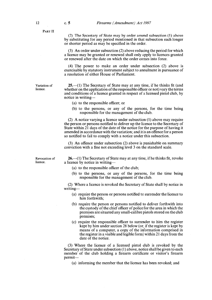(2) The Secretary of State may by order amend subsection (1) above by substituting for any period mentioned in that subsection such longer or shorter period as may be specified in the order.

(3) An order under subsection (2) above reducing the period for which a licence may be granted or renewed shall only apply to licences granted or renewed after the date on which the order comes into force.

(4) The power to make an order under subsection (2) above is exercisable by statutory instrument subject to annulment in pursuance of a resolution of either House of Parliament.

Variation of 25.—(1) The Secretary of State may at any time, if he thinks fit (and licence<br>whether on the annication of the responsible officer or not) yary the terms whether on the application of the responsible officer or not) vary the terms and conditions of a licence granted in respect of a licensed pistol club, by notice in writing—

- (a) to the responsible officer; or
- (b) to the persons, or any of the persons, for the time being responsible for the management of the club.

(2) A notice varying a licence under subsection (1) above may require the person or persons notified to deliver up the licence to the Secretary of State within 21 days of the date of the notice for the purpose of having it amended in accordance with the variation; and it is an offence for a person so notified to fail to comply with a notice under this subsection.

(3) An offence under subsection (2) above is punishable on summary conviction with a fine not exceeding level 3 on the standard scale.

Revocation of 26.—(1) The Secretary of State may at any time, if he thinks fit, revoke is a licence by notice in writing a licence by notice in writing—

- (a) to the responsible officer of the club;
- (b) to the persons, or any of the persons, for the time being responsible for the management of the club.

(2) Where a licence is revoked the Secretary of State shall by notice in writing—

- (a) require the person or persons notified to surrender the licence to him forthwith;
- (b) require the person or persons notified to deliver forthwith into the custody of the chief officer of police for the area in which the premises are situated any small-calibre pistols stored on the club premises;
- (c) require the responsible officer to surrender to him the register kept by him under section 28 below (or, if the register is kept by means of a computer, a copy of the information comprised in the register in a visible and legible form) within 21 days from the date of the notice.

(3) Where the licence of a licensed pistol club is revoked by the Secretary of State under subsection (1) above, notice shall be given to each member of the club holding a firearm certificate or visitor's firearm permit—

(a) informing the member that the licence has been revoked; and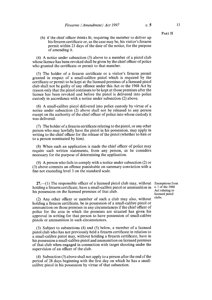(b) if the chief officer thinks fit, requiring the member to deliver up his firearm certificate or, as the case may be, his visitor's firearm permit within 21 days of the date of the notice, for the purpose of amending it.

(4) A notice under subsection (3) above to a member of a pistol club whose licence has been revoked shall be given by the chief officer of police who granted the certificate or permit to that member.

(5) The holder of a firearm certificate or a visitor's firearm permit granted in respect of a small-calibre pistol which is required by the certificate or permit to be kept at the licensed premises of a licensed pistol club shall not be guilty of any offence under this Act or the 1968 Act by reason only that the pistol continues to be kept at those premises after the licence has been revoked and before the pistol is delivered into police custody in accordance with a notice under subsection (2) above.

(6) A small-calibre pistol delivered into police custody by virtue of a notice under subsection (2) above shall not be released to any person except on the authority of the chief officer of police into whose custody it was delivered.

(7) The holder of a firearm certificate relating to the pistol, or any other person who may lawfully have the pistol in his possession, may apply in writing to the chief officer for the release of the pistol (whether to him or to a person nominated by him).

(8) When such an application is made the chief officer of police may require such written statements, from any person, as he considers necessary for the purpose of determining the application.

(9) A person who fails to comply with a notice under subsection (2) or (3) above commits an offence punishable on summary conviction with a fine not exceeding level 3 on the standard scale.

27.—(1) The responsible officer of a licensed pistol club may, without Exemptions from  $P_{\text{olding 2}}$  frearm certificate have a small-calibre pistol or ammunition in s. 1 of the 1968 holding a firearm certificate, have a small-calibre pistol or ammunition in s. 1 of the 1968<br>his possession on the licensed premises of that club his possession on the licensed premises of that club.

(2) Any other officer or member of such a club may also, without holding a firearm certificate, be in possession of a small-calibre pistol or anmiunition on those premises in any circumstances if the chief officer of police for the area in which the premises are situated has given his approval in writing for that person to have possession of small-calibre pistols or ammunition in such circumstances.

(3) Subject to subsections (4) and (5) below, a member of a licensed pistol club who has not previously held a firearm certificate in relation to a small-calibre pistol may, without holding a firearm certificate, have in his possession a small-calibre pistol and ammunition on licensed premises of that club when engaged in connection with target shooting under the supervision of an officer of the club.

(4) Subsection (3) above shall not apply to a person after the end of the period of 28 days beginning with the first day on which he has a smallcalibre pistol in his possession by virtue of that subsection.

licensed pistol

PART II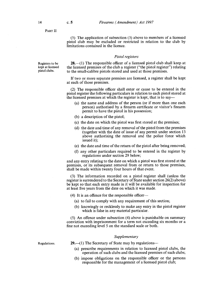(5) The application of subsection (3) above to members of a licensed pistol club may be excluded or restricted in relation to the club by limitations contained in the licence.

#### Pistol registers

Registers to be 28.—(1) The responsible officer of a licensed pistol club shall keep at kept at licensed the licensed premises of the club a register ("the pistol register") relating kept at licensed the licensed premises of the club a register ("the pistol register") relating pistol clubs.<br>to the small-calibre pistols stored and used at those premises to the small-calibre pistols stored and used at those premises.

> If two or more separate premises are licensed, a register shall be kept at each of those premises.

> (2) The responsible officer shall enter or cause to be entered in the pistol register the following particulars in relation to each pistol stored at the licensed premises at which the register is kept, that is to say—

- (a) the name and address of the person (or if more than one each person) authorised by a firearm certificate or visitor's firearm permit to have the pistol in his possession;
- (b) a description of the pistol;
- (c) the date on which the pistol was first stored at the premises;
- (d) the date and time of any removal of the pistol from the premises (together with the date of issue of any permit under section 13 above authorising the removal and the police force which issued it);
- (e) the date and time of the return of the pistol after being removed;
- (f) any other particulars required to be entered in the register by regulations under section 29 below;

and any entry relating to the date on which a pistol was first stored at the premises, or its subsequent removal from or return to those premises, shall be made within twenty four hours of that event.

(3) The information recorded on a pistol register shall (unless the register is surrendered to the Secretary of State under section 26(2) above) be kept so that each entry made in it will be available for inspection for at least five years from the date on which it was made.

(4) It is an offence for the responsible officer—

- (a) to fail to comply with any requirement of this section;
- (b) knowingly or recklessly to make any entry in the pistol register which is false in any material particular.

(5) An offence under subsection (4) above is punishable on summary conviction with imprisonment for a term not exceeding six months or a fine not exceeding level 5 on the standard scale or both.

#### Supplementary

Regulations. 29.—(1) The Secretary of State may by regulations—

- (a) prescribe requirements in relation to licensed pistol clubs, the operation of such clubs and the licensed premises of such clubs;
- (b) impose obligations on the responsible officer or the persons responsible for the management of a licensed pistol club;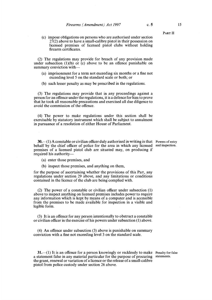(c) impose obligations on persons who are authorised under section  $27(2)$  above to have a small-calibre pistol in their possession on licensed premises of licensed pistol clubs without holding firearm certificates.

(2) The regulations may provide for breach of any provision made under subsection  $(1)(b)$  or  $(c)$  above to be an offence punishable on summary conviction with—

- (a) imprisonment for a term not exceeding six months or a fine not exceeding level 5 on the standard scale or both; or
- (b) such lesser penalty as may be prescribed in the regulations.

(3) The regulations may provide that in any proceedings against a person for an offence under the regulations, it is a defence for him to prove that he took all reasonable precautions and exercised all due diligence to avoid the commission of the offence.

(4) The power to make regulations under this section shall be exercisable by statutory instrument which shall be subject to annulment in pursuance of a resolution of either House of Parliament.

 $30$ —(1) A constable or civilian officer duly authorised in writing in that Powers of entry thalf by the chief officer of police for the area in which any licensed and inspection. behalf by the chief officer of police for the area in which any licensed premises of a licensed pistol club are situated may, on producing if required his authority—

- (a) enter those premises, and
- (b) inspect those premises, and anything on them,

for the purpose of ascertaining whether the provisions of this Part, any regulations under section 29 above, and any limitations or conditions contained in the licence of the club are being complied with.

(2) The power of a constable or civilian officer under subsection (1) above to inspect anything on licensed premises includes power to require any information which is kept by means of a computer and is accessible from the premises to be made available for inspection in a visible and legible form.

(3) It is an offence for any person intentionally to obstruct a constable or civilian officer in the exercise of his powers under subsection (1) above.

(4) An offence under subsection (3) above is punishable on summary conviction with a fine not exceeding level 3 on the standard scale.

31.—(1) It is an offence for a person knowingly or recklessly to make Penalty for false a statement false in any material particular for the purpose of procuring statements. the grant, renewal or variation of a licence or the release of a small-calibre pistol from police custody under section 26 above.

PART II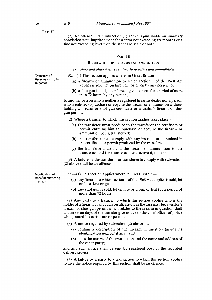(2) An offence under subsection (1) above is punishable on summary conviction with imprisonment for a term not exceeding six months or a fine not exceeding level 5 on the standard scale or both.

#### PART III

#### REGULATION OF FIREARMS AND AMMUNITION

#### Transfers and other events relating to firearms and ammunition

Transfers of  $32$ .  $-$ (1) This section applies where, in Great Britain-<br>firearms etc. to be

- 
- firearms etc. to be (a) a firearm or ammunition to which section 1 of the 1968 Act applies is sold, let on hire, lent or given by any person, or
	- (b) a shot gun is sold, let on hire or given, or lent for a period of more than 72 hours by any person,

to another person who is neither a registered firearms dealer nor a person who is entitled to purchase or acquire the firearm or ammunition without holding a firearm or shot gun certificate or a visitor's firearm or shot gun permit.

- (2) Where a transfer to which this section applies takes place—
	- (a) the transferee must produce to the transferor the certificate or permit entitling him to purchase or acquire the firearm or ammunition being transferred;
	- (b) the transferor must comply with any instructions contained in the certificate or permit produced by the transferee;
	- (c) the transferor must hand the firearm or ammunition to the transferee, and the transferee must receive it, in person.

(3) A failure by the transferor or transferee to comply with subsection (2) above shall be an offence.

Notification of  $33$ .—(1) This section applies where in Great Britain—<br>transfers involving  $(2)$  and  $6$  must be all  $1$  must be all  $64$  and  $62$  A is

- transfers involving . . firearms (a) any firearm to which section 1 of the 1968 Act applies is sold, let on hire, lent or given;
	- (b) any shot gun is sold, let on hire or given, or lent for a period of more than 72 hours.

(2) Any party to a transfer to which this section applies who is the holder of a firearm or shot gun certificate or, as the case may be, a visitor's firearm or shot gun permit which relates to the firearm in question shall within seven days of the transfer give notice to the chief officer of police who granted his certificate or permit.

(3) A notice required by subsection (2) above shall—

- (a) contain a description of the firearm in question (giving its identification number if any); and
- (b) state the nature of the transaction and the name and address of the other party;

and any such notice shall be sent by registered post or the recorded delivery service.

(4) A failure by a party to a transaction to which this section applies to give the notice required by this section shall be an offence.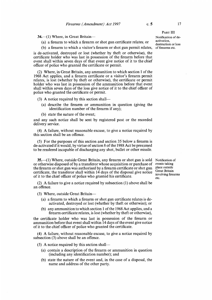34.—(1) Where, in Great Britain—<br>(a) a firearm to which a firearm or shot gun certificate relates: or activation,

(a) a firearm to which a firearm or shot gun certificate relates; or

(b) a firearm to which a visitor's firearm or shot gun permit relates, of firearms etc.

is de-activated, destroyed or lost (whether by theft or otherwise), the certificate holder who was last in possession of the firearm before that event shall within seven days of that event give notice of it to the chief officer of police who granted the certificate or permit.

(2) Where, in Great Britain, any ammunition to which section 1 of the 1968 Act applies, and a firearm certificate or a visitor's firearm permit relates, is lost (whether by theft or otherwise), the certificate or permit holder who was last in possession of the ammunition before that event shall within seven days of the loss give notice of it to the chief officer of police who granted the certificate or permit.

(3) A notice required by this section shall—

- (a) describe the firearm or ammunition in question (giving the identification number of the firearm if any);
- (b) state the nature of the event;

and any such notice shall be sent by registered post or the recorded delivery service.

(4) A failure, without reasonable excuse, to give a notice required by this section shall be an offence.

(5) For the purposes of this section and section 35 below a firearm is de-activated if it would, by virtue of section 8 of the 1988 Act be presumed to be rendered incapable of discharging any shot, bullet or other missile.

35.—(1) Where, outside Great Britain, any firearm or shot gun is sold Notification of otherwise disposed of by a transferor whose acquisition or purchase of events taking or otherwise disposed of by a transferor whose acquisition or purchase of events taking<br>the firearm or shot gun was authorised by a firearm certificate or shot gun place outside the firearm or shot gun was authorised by a firearm certificate or shot gun place outside<br>contificate, the transferor shall within 14 down of the disposed give notice. Great Britain certificate, the transferor shall within 14 days of the disposal give notice Great Britain involving firearms of it to the chief officer of police who granted his certificate.  $\frac{m}{\text{etc.}}$ 

(2) A failure to give a notice required by subsection (1) above shall be an offence.

(3) Where, outside Great Britain—

- (a) a firearm to which a firearm or shot gun certificate relates is deactivated, destroyed or lost (whether by theft or otherwise); or
- (b) any ammunition to which section 1 of the 1968 Act applies, and a firearm certificate relates, is lost (whether by theft or otherwise),

the certificate holder who was last in possession of the firearm or ammunition before that event shall within 14 days of the event give notice of it to the chief officer of police who granted the certificate.

(4) A failure, without reasonable excuse, to give a notice required by subsection (3) above shall be an offence.

- (5) A notice required by this section shall—
	- (a) contain a description of the firearm or ammunition in question (including any identification number); and
	- (b) state the nature of the event and, in the case of a disposal, the name and address of the other party.

PART III destruction or loss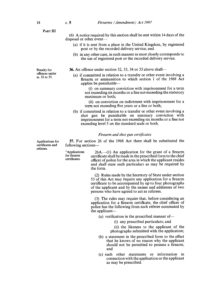ss. 32 to 35.

(6) A notice required by this section shall be sent within 14 days of the disposal or other event—

- (a) if it is sent from a place in the United Kingdom, by registered post or by the recorded delivery service; and
- (b) in any other case, in such manner as most closely corresponds to the use of registered post or the recorded delivery service.

Penalty for 36. An offence under section 32, 33, 34 or 35 above shall—<br>offences under

(a) if committed in relation to a transfer or other event involving a firearm or ammunition to which section 1 of the 1968 Act applies be punishable—

> (i) on summary conviction with imprisonment for a term not exceeding six months or a fine not exceeding the statutory maximum or both;

> (ii) on conviction on indictment with imprisonment for a term not exceeding five years or a fine or both;

(b) if committed in relation to a transfer or other event involving a shot gun be punishable on summary conviction with imprisonment for a term not exceeding six months or a fine not exceeding level 5 on the standard scale or both.

#### Firearm and shot gun certificates

Applications for 37. For section 26 of the 1968 Act there shall be substituted the certificates and following sections following sections—

"Applications  $26A$ .  $-(1)$  An application for the grant of a firearm<br>for firearm certificate shall be made in the prescribed form to the chief for firearm certificate shall be made in the prescribed form to the chief officer of police for the area in which the applicant resides and shall state such particulars as may be required by the form.

> (2) Rules made by the Secretary of State under section 53 of this Act may require any application for a firearm certificate to be accompanied by up to four photographs of the applicant and by the names and addresses of two persons who have agreed to act as referees.

> (3) The rules may require that, before considering an application for a firearm certificate, the chief officer of police has the following from each referee nominated by the applicant—

(a) verification in the prescribed manner of—

(i) any prescribed particulars; and

(ii) the likeness to the applicant of the photographs submitted with the application;

- (b) a statement in the prescribed form to the effect that he knows of no reason why the applicant should not be permitted to possess a firearm; and
- (c) such other statements or information in connection with the application or the applicant as may be prescribed.

referees.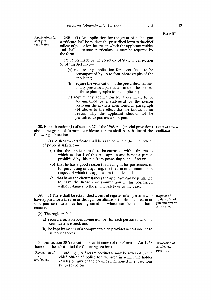Applications for  $26B$ .—(1) An application for the grant of a shot gun shot gun certificate shall be made in the prescribed form to the chief shot gun certificate shall be made in the prescribed form to the chief<br>certificates. officer of police for the area in which the applicant resides and shall state such particulars as may be required by the form.

> (2) Rules made by the Secretary of State under section 53 of this Act may—

- (a) require any application for a certificate to be accompanied by up to four photographs of the applicant;
- (b) require the verification in the prescribed manner of any prescribed particulars and of the likeness of those photographs to the applicant;
- (c) require any application for a certificate to be accompanied by a statement by the person verifying the matters mentioned in paragraph (b) above to the effect that he knows of no reason why the applicant should not be permitted to possess a shot gun."

38. For subsection (1) of section 27 of the 1968 Act (special provisions Grant of firearm about the grant of firearms certificates) there shall be substituted the certificates. following subsection—

"(1) A firearm certificate shall be granted where the chief officer of police is satisfied—

- (a) that the applicant is fit to be entrusted with a firearm to which section 1 of this Act applies and is not a person prohibited by this Act from possessing such a firearm;
- (b) that he has a good reason for having in his possession, or for purchasing or acquiring, the firearm or ammunition in respect of which the application is made; and
- (c) that in all the circumstances the applicant can be permitted to have the firearm or ammunition in his possession without danger to the public safety or to the peace."

 $39$ —(1) There shall be established a central register of all persons who Register of we applied for a firearm or shot gun certificate or to whom a firearm or holders of shot have applied for a firearm or shot gun certificate or to whom a firearm or holders of shot shot gun certificate has been granted or whose certificate has been gun and firearm shot gun certificate has been granted or whose certificate has been gun and firearm renewed. certificates.

(2) The register shall—

- (a) record a suitable identifying number for each person to whom a certificate is issued; and
- (b) be kept by means of a computer which provides access on-line to all police forces.

40. For section 30 (revocation of certificates) of the Firearms Act 1968 Revocation of ere shall be substituted the following sections there shall be substituted the following sections-

"Revocation of  $30A$ .—(1) A firearm certificate may be revoked by the  $1968$  c. 27.<br>firearm chief officer of police for the area in which the holder firearm chief officer of police for the area in which the holder<br>certificates. resides on any of the grounds mentioned in subsections  $(2)$  to  $(5)$  below.

PART III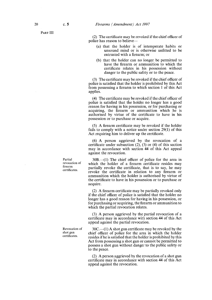(2) The certificate may be revoked if the chief officer of police has reason to believe—

- (a) that the holder is of intemperate habits or unsound mind or is otherwise unfitted to be entrusted with a firearm; or
- (b) that the holder can no longer be permitted to have the firearm or ammunition to which the certificate relates in his possession without danger to the public safety or to the peace.

(3) The certificate may be revoked if the chief officer of police is satisfied that the holder is prohibited by this Act from possessing a firearm to which section 1 of this Act applies.

(4) The certificate may be revoked if the chief officer of police is satisfied that the holder no longer has a good reason for having in his possession, or for purchasing or acquiring, the firearm or ammunition which he is authorised by virtue of the certificate to have in his possession or to purchase or acquire.

(5) A firearm certificate may be revoked if the holder fails to comply with a notice under section 29(1) of this Act requiring him to deliver up the certificate.

(6) A person aggrieved by the revocation of a certificate under subsection (2), (3) or (4) of this section may in accordance with section 44 of this Act appeal against the revocation.

Partial  $30B$ .—(1) The chief officer of police for the area in<br>revocation of which the holder of a firearm certificate resides may revocation of which the holder of a firearm certificate resides may<br>firearm certificate resides may be may firearm partially revoke the certificate, that is to say, he may revoke the certificate in relation to any firearm or ammunition which the holder is authorised by virtue of the certificate to have in his possession or to purchase or acquire.

> (2) A firearm certificate may be partially revoked only if the chief officer of police is satisfied that the holder no longer has a good reason for having in his possession, or for purchasing or acquiring, the firearm or ammunition to which the partial revocation relates.

> (3) A person aggrieved by the partial revocation of a certificate may in accordance with section 44 of this Act appeal against the partial revocation.

Revocation of  $30C$ .—(1) A shot gun certificate may be revoked by the shot gun chief officer of police for the area in which the holder shot gun chief officer of police for the area in which the holder<br>certificates. resides if he is satisfied that the holder is prohibited by this Act from possessing a shot gun or cannot be permitted to possess a shot gun without danger to the public safety or to the peace.

> (2) A person aggrieved by the revocation of a shot gun certificate may in accordance with section 44 of this Act appeal against the revocation.

PART III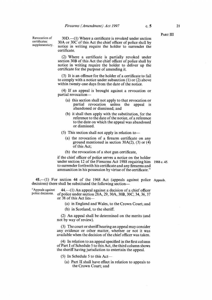Revocation of  $30D$ .—(1) Where a certificate is revoked under section certificates:  $30A$  or  $30C$  of this Act the chief officer of police shall by supplementary. notice in writing require the holder to surrender the certificate.

> (2) Where a certificate is partially revoked under section 30B of this Act the chief officer of police shall by notice in writing require the holder to deliver up the certificate for the purpose of amending it.

> (3) It is an offence for the holder of a certificate to fail to comply with a notice under subsection (1) or (2) above within twenty-one days from the date of the notice.

> (4) If an appeal is brought against a revocation or partial revocation—

- (a) this section shall not apply to that revocation or partial revocation unless the appeal is abandoned or dismissed; and
- (b) it shall then apply with the substitution, for the reference to the date of the notice, of a reference to the date on which the appeal was abandoned or dismissed.
- (5) This section shall not apply in relation to—
	- (a) the revocation of a firearm certificate on any ground mentioned in section  $30A(2)$ , (3) or (4) of this Act;
	- (b) the revocation of a shot gun certificate,

if the chief officer of police serves a notice on the holder under section 12 of the Firearms Act 1988 requiring him 1988 c. 45. to surrender forthwith his certificate and any firearms and ammunition in his possession by virtue of the certificate."

41.—(1) For section 44 of the 1968 Act (appeals against police Appeals. decisions) there shall be substituted the following section—

"Appeals against  $44$ .  $-(1)$  An appeal against a decision of a chief officer police decisions. of police under section 28 A 29 30 A 30 B 30 C 34 36 37 of police under section 28A, 29, 30A, 30B, 30C, 34, 36, 37 or 38 of this Act lies—

(a) in England and Wales, to the Crown Court; and

(b) in Scotland, to the sheriff.

(2) An appeal shall be determined on the merits (and not by way of review).

(3) The court or sheriff hearing an appeal may consider any evidence or other matter, whether or not it was available when the decision of the chief officer was taken.

(4) In relation to an appeal specified in the first column of Part I of Schedule 5 to this Act, the third column shows the sheriff having jurisdiction to entertain the appeal.

(5) In Schedule 5 to this Act—

(a) Part II shall have effect in relation to appeals to the Crown Court; and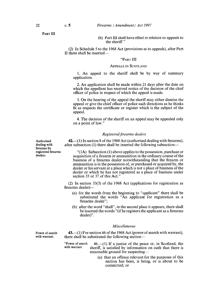(b) Part III shall have effect in relation to appeals to the sheriff."

(2) In Schedule 5 to the 1968 Act (provisions as to appeals), after Part II there shall be inserted—

#### "PART III

#### APPEALS IN SCOTLAND

1. An appeal to the sheriff shall be by way of summary application.

2. An application shall be made within 21 days after the date on which the appellant has received notice of the decision of the chief officer of police in respect of which the appeal is made.

3. On the hearing of the appeal the sheriff may either dismiss the appeal or give the chief officer of police such directions as he thinks fit as respects the certificate or register which is the subject of the appeal.

4. The decision of the sheriff on an appeal may be appealed only on a point of law."

#### Registered firearms dealers

Authorised 42.— $(1)$  In section 8 of the 1968 Act (authorised dealing with firearms), dealing with after subsection (1) there shall be inserted the following subsection after subsection (1) there shall be inserted the following subsection—

registered firearms "(1A) Subsection (1) above applies to the possession, purchase or<br>dealers. acquisition of a firearm or ammunition in the ordinary course of the business of a firearms dealer notwithstanding that the firearm or ammunition is in the possession of, or purchased or acquired by, the dealer or his servant at a place which is not a place of business of the dealer or which he has not registered as a place of business under section 33 or 37 of this Act."

> (2) In section 33(3) of the 1968 Act (applications for registration as firearms dealer)—

- (a) for the words from the beginning to "applicant" there shall be substituted the words "An applicant for registration as a firearms dealer":
- (b) after the word "shall", in the second place it appears, there shall be inserted the words "(if he registers the applicant as a firearms dealer)".

#### Miscellaneous

Power of search  $43.$ —(1) For section 46 of the 1968 Act (power of search with warrant), with warrant there shall be substituted the following section there shall be substituted the following section—

- "Power of search  $46$ .—(1) If a justice of the peace or, in Scotland, the with warrant. sheriff, is satisfied by information on oath that there is reasonable ground for suspecting—
	- (a) that an offence relevant for the purposes of this section has been, is being, or is about to be committed; or

firearms by<br>registered firearms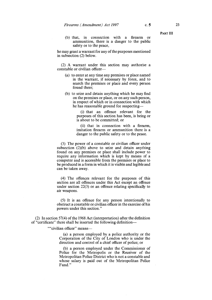(b) that, in connection with a firearm or ammunition, there is a danger to the public safety or to the peace,

he may grant a warrant for any of the purposes mentioned in subsection (2) below.

(2) A warrant under this section may authorise a constable or civilian officer—

- (a) to enter at any time any premises or place named in the warrant, if necessary by force, and to search the premises or place and every person found there;
- (b) to seize and detain anything which he may find on the premises or place, or on any such person, in respect of which or in connection with which he has reasonable ground for suspecting—

(i) that an offence relevant for the purposes of this section has been, is being or is about to be committed; or

(ii) that in connection with a firearm, imitation firearm or ammunition there is a danger to the public safety or to the peace.

(3) The power of a constable or civilian officer under subsection  $(2)(b)$  above to seize and detain anything found on any premises or place shall include power to require any information which is kept by means of a computer and is accessible from the premises or place to be produced in a form in which it is visible and legible and can be taken away.

(4) The offences relevant for the purposes of this section are all offences under this Act except an offence under section 22(3) or an offence relating specifically to air weapons.

(5) It is an offence for any person intentionally to obstruct a constable or civilian officer in the exercise of his powers under this section."

(2) In section  $57(4)$  of the 1968 Act (interpretation) after the definition of "certificate" there shall be inserted the following definition—

"civilian officer" means—

(a) a person employed by a police authority or the Corporation of the City of London who is under the direction and control of a chief officer of police; or

(b) a person employed under the Commissioner of Police for the Metropolis or the Receiver of the Metropolitan Police District who is not a constable and whose salary is paid out of the Metropolitan Police Fund."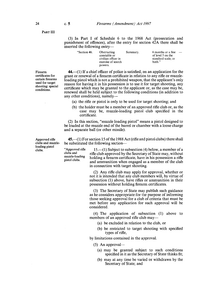(3) In Part I of Schedule 6 to the 1968 Act (prosecution and punishment of offences), after the entry for section 42A there shall be inserted the following entry—

| "Section 46. | Obstruc  |
|--------------|----------|
|              | constab  |
|              | civilian |
|              | exercise |
|              | powers.  |

of search powers.

ting Summary. 6 months or a fine —<br>
of level 5 on the detail of level 5 on the officer in the standard scale: constant of level 5 on the standard scale: standard scale; or<br>both."

conditions.

Firearm 44.—(1) If a chief officer of police is satisfied, on an application for the certificates for grant or renewal of a firearm certificate in relation to any rifle or muzzlecertificates for grant or renewal of a firearm certificate in relation to any rifle or muzzle-<br>certain firearms loading pistol which is not a probibited weapon, that the applicant's only certain firearms loading pistol which is not a prohibited weapon, that the applicant's only used for target used for target reason for having it in his possession is to use it for target shooting, any shooting: special certificate which may be granted to the applicant or, as the case may be, renewed shall be held subject to the following conditions (in addition to any other conditions), namely—

- (a) the rifle or pistol is only to be used for target shooting; and
- (b) the holder must be a member of an approved rifle club or, as the case may be, muzzle-loading pistol club specified in the certificate.

(2) In this section, "muzzle loading pistol" means a pistol designed to be loaded at the muzzle end of the barrel or chamber with a loose charge and a separate ball (or other missile).

Approved rifle 45.—(1) For section 15 of the 1988 Act (rifle and pistol clubs) there shall clubs and muzzle-<br>be substituted the following section be substituted the following section-

"Approved rifle  $15$ .—(1) Subject to subsection (4) below, a member of a clubs and rifle club approved by the Secretary of State may without clubs and<br>muzzle-loading holding a firearm certificate have in his possession a rifle muzzle-loading holding a firearm certificate, have in his possession a rifle pistol clubs.<br>and ammunition when engaged as a member of the club in connection with target shooting.

> (2) Any rifle club may apply for approval, whether or not it is intended that any club members will, by virtue of subsection (1) above, have rifles or ammunition in their possession without holding firearm certificates.

> (3) The Secretary of State may publish such guidance as he considers appropriate for the purpose of informing those seeking approval for a club of criteria that must be met before any application for such approval will be considered.

> (4) The application of subsection (1) above to members of an approved rifle club may-

- (a) be excluded in relation to the club, or
- (b) be restricted to target shooting with specified types of rifle,

by limitations contained in the approval.

(5) An approval—

- (a) may be granted subject to such conditions specified in it as the Secretary of State thinks fit;
- (b) may at any time be varied or withdrawn by the Secretary of State; and

loading pistol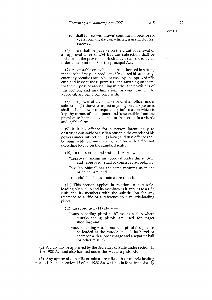(c) shall (unless withdrawn) continue in force for six years from the date on which it is granted or last renewed.

(6) There shall be payable on the grant or renewal of an approval a fee of £84 but this subsection shall be included in the provisions which may be amended by an order under section 43 of the principal Act.

(7) A constable or civilian officer authorised in writing in that behalf may, on producing if required his authority, enter any premises occupied or used by an approved rifle club and inspect those premises, and anything on them, for the purpose of ascertaining whether the provisions of this section, and any limitations or conditions in the approval, are being complied with.

(8) The power of a constable or civilian officer under subsection (7) above to inspect anything on club premises shall include power to require any information which is kept by means of a computer and is accessible from the premises to be made available for inspection in a visible and legible form.

(9) It is an offence for a person intentionally to obstruct a constable or civilian officer in the exercise of his powers under subsection (7) above; and that offence shall be punishable on summary conviction with a fine not exceeding level 3 on the standard scale.

 $(10)$  In this section and section 15A below—

- "approval", means an approval under this section; and "approved" shall be construed accordingly;
- "civilian officer" has the same meaning as in the principal Act; and
- "rifle club" includes a miniature rifle club.

 $(11)$  This section applies in relation to a muzzleloading pistol club and its members as it applies to a rifle club and its members with the substitution for any reference to a rifle of a reference to a muzzle-loading pistol.

(12) In subsection (11) above—

- "muzzle-loading pistol club" means a club where muzzle-loading pistols are used for target shooting; and
- "muzzle-loading pistol" means a pistol designed to be loaded at the muzzle end of the barrel or chamber with a loose charge and a separate ball (or other missile).".

(2) A club may be approved by the Secretary of State under section 15 of the 1988 Act and also licensed under this Act as a pistol club.

(3) Any approval of a rifle or miniature rifle club or muzzle-loading pistol club under section 15 of the 1988 Act which is in force immediately PART III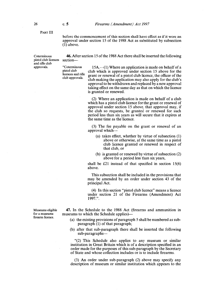before the commencement of this section shall have effect as if it were an approval under section 15 of the 1988 Act as substituted by subsection  $(1)$  above.

pistol club licences and rifle club<br>approvals.

Coterminous 46. After section 15 of the 1988 Act there shall be inserted the following pistol club licences section—

"Coterminous 15A.—(1) Where an application is made on behalf of a pistol club  $\frac{15 \text{ above for the}}{2}$ pistol club club which is approved under section 15 above for the licences and rifle licences and rifle grant or renewal of a pistol club licence, the officer of the club approvals. . . club making the application may also apply for the club's approval to be withdrawn and replaced by a new approval taking effect on the same day as that on which the licence is granted or renewed.

> (2) Where an application is made on behalf of a club which has a pistol club licence for the grant or renewal of approval under section 15 above, that approval may, if the club so requests, be granted or renewed for such period less than six years as will secure that it expires at the same time as the licence.

> (3) The fee payable on the grant or renewal of an approval which—

- (a) takes effect, whether by virtue of subsection (1) above or otherwise, at the same time as a pistol club licence granted or renewed in respect of that club, or
- (b) is granted or renewed by virtue of subsection (2) above for a period less than six years,

shall be £21 instead of that specified in section 15(6) above.

This subsection shall be included in the provisions that may be amended by an order under section 43 of the principal Act.

(4) In this section "pistol club licence" means a licence under section 21 of the Firearms (Amendment) Act 1997.".

Museums eligible  $\frac{47}{10}$ . In the Schedule to the 1988 Act (firearms and ammunition in for a museums museums to which the Schedule applies) for a museums museums to which the Schedule applies)—<br>firearm licence.

- (a) the existing provisions of paragraph 5 shall be numbered as subparagraph (1) of that paragraph;
- (b) after that sub-paragraph there shall be inserted the following sub-paragraphs-—

"(2) This Schedule also applies to any museum or similar institution in Great Britain which is of a description specified in an order made for the purposes of this sub-paragraph by the Secretary of State and whose collection includes or is to include firearms.

(3) An order under sub-paragraph (2) above may specify any description of museum or similar institution which appears to the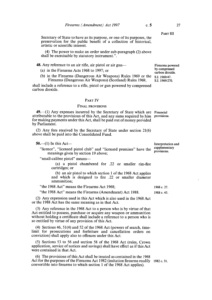Secretary of State to have as its purpose, or one of its purposes, the preservation for the public benefit of a collection of historical, artistic or scientific interest.

(4) The power to make an order under sub-paragraph (2) above shall be exercisable by statutory instrument.".

48. Any reference to an air rifle, air pistol or air gun—<br>  $(a)$  in the Firearms Acts 1068 to 1007, and the subset of the subset of the subset of the subset of the subset of the subset of the subset of the Singapura and th

- (a) in the Firearms Acts 1968 to 1997; or
- (a) in the Firearms (Dangerous Air Weapons) Rules 1969 or the S.I. 1969/47.<br>Firearms (Dangerous Air Weapons) (Scotland) Rules 1969. S.I. 1969/270. Firearms (Dangerous Air Weapons) (Scotland) Rules 1969,

shall include a reference to a rifle, pistol or gun powered by compressed carbon dioxide.

#### PART IV

#### FINAL PROVISIONS

49.—(1) Any expenses incurred by the Secretary of State which are Financial attributable to the provisions of this Act, and any sums required by him provisions. for making payments under this Act, shall be paid out of money provided by Parliament.

(2) Any fees received by the Secretary of State under section 21(6) above shall be paid into the Consolidated Fund.

50.—(1) In this Act—<br>
"ligance" visited club" and "liganced numicas" have the supplementary<br>
" "licence", "licensed pistol club" and "licensed premises" have the provisions. meanings given by section 19 above;

"small-calibre pistol" means—

(a) a pistol chambered for .22 or smaller rim-fire cartridges; or

(b) an air pistol to which section 1 of the 1968 Act applies and which is designed to fire .22 or smaller diameter ammunition;

"the 1968 Act" means the Firearms Act 1968;  $1968$ ; 1968 c. 27.

"the 1988 Act" means the Firearms (Amendment) Act 1988. 1988 c. 45.

(2) Any expression used in this Act which is also used in the 1968 Act or the 1988 Act has the same meaning as in that Act.

(3) Any reference in the 1968 Act to a person who is by virtue of that Act entitled to possess, purchase or acquire any weapon or ammunition without holding a certificate shall include a reference to a person who is so entitled by virtue of any provision of this Act.

(4) Sections 46, 51(4) and 52 of the 1968 Act (powers of search, timelimit for prosecutions and forfeiture and cancellation orders on conviction) shall apply also to offences under this Act.

(5) Sections 53 to 56 and section 58 of the 1968 Act (rules, Crown application, service of notices and savings) shall have effect as if this Act were contained in that Act.

(6) The provisions of this Act shall be treated as contained in the 1968 Act for the purposes of the Firearms Act 1982 (imitation firearms readily 1982 c. 31. convertible into firearms to which section 1 of the 1968 Act applies).

PART III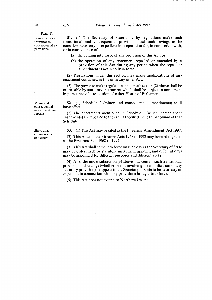Power to make 51.—(1) The Secretary of State may by regulations make such transitional and consequential provisions and such savings as he transitional, transitional and consequential provisions and such savings as he consequential etc. considers necessary or expedient in preparation for in connection with consequential etc. considers necessary or expedient in preparation for, in connection with, provisions. or in consequence of  $\leftarrow$ or in consequence of—

- (a) the coming into force of any provision of this Act; or
- (b) the operation of any enactment repealed or amended by a provision of this Act during any period when the repeal or amendment is not wholly in force.

(2) Regulations under this section may make modifications of any enactment contained in this or in any other Act.

(3) The power to make regulations under subsection (2) above shall be exercisable by statutory instrument which shall be subject to annulment in pursuance of a resolution of either House of Parliament.

Minor and 52.—(1) Schedule 2 (minor and consequential amendments) shall consequential have effect. have effect.

repeals. (2) The enactments mentioned in Schedule 3 (which include spent enactments) are repealed to the extent specified in the third column of that Schedule.

Short title, 53.—(l) This Act may be cited as the Firearms (Amendment) Act 1997.

(2) This Act and the Firearms Acts 1968 to 1992 may be cited together as the Firearms Acts 1968 to 1997.

(3) This Act shall come into force on such day as the Secretary of State may by order made by statutory instrument appoint; and different days may be appointed for different purposes and different areas.

(4) An order under subsection (3) above may contain such transitional provision and savings (whether or not involving the modification of any statutory provision) as appear to the Secretary of State to be necessary or expedient in connection with any provisions brought into force.

(5) This Act does not extend to Northern Ireland.

amendments and

commencement<br>and extent.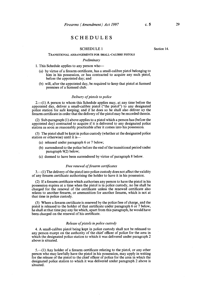#### SCHEDULES

#### SCHEDULE 1 Section 14.

TRANSITIONAL ARRANGEMENTS FOR SMALL-CALIBRE PISTOLS

#### Preliminary

1. This Schedule applies to any person who—

- (a) by virtue of a firearm certificate, has a small-calibre pistol belonging to him in his possession, or has contracted to acquire any such pistol, before the appointed day; and
- (b) will, after the appointed day, be required to keep that pistol at licensed premises of a licensed club.

#### Delivery of pistols to police

2.—(1) A person to whom this Schedule applies may, at any time before the appointed day, deliver a small-calibre pistol ("the pistol") to any designated police station for safe keeping; and if he does so he shall also deliver up the firearm certificate in order that the delivery of the pistol may be recorded therein.

(2) Sub-paragraph (1) above applies to a pistol which a person has (before the appointed day) contracted to acquire if it is delivered to any designated police station as soon as reasonably practicable after it comes into his possession.

(3) The pistol shall be kept in police custody (whether at the designated police station or otherwise) until it is—

- (a) released under paragraph 6 or 7 below;
- (b) surrendered to the police before the end of the transitional period under paragraph 9(2) below;
- (c) deemed to have been surrendered by virtue of paragraph 8 below.

#### Free renewal of firearm certificates

3.—(1) The delivery of the pistol into police custody does not affect the validity of any firearm certificate authorising the holder to have it in his possession.

(2) If a firearm certificate which authorises any person to have the pistol in his possession expires at a time when the pistol is in police custody, no fee shall be charged for the renewal of the certificate unless the renewed certificate also relates to another firearm, or ammunition for another firearm, which is not at that time in police custody.

(3) Where a firearm certificate is renewed by the police free of charge, and the pistol is released to the holder of that certificate under paragraph 6 or 7 below, he shall at that time pay any fee which, apart from this paragraph, he would have been charged on the renewal of his certificate.

#### Release of pistols in police custody

4. A small-calibre pistol being kept in police custody shall not be released to any person except on the authority of the chief officer of police for the area in which the designated police station to which it was delivered under paragraph 2 above is situated.

5.—(1) Any holder of a firearm certificate relating to the pistol, or any other person who may lawfully have the pistol in his possession, may apply in writing for the release of the pistol to the chief officer of police for the area in which the designated police station to which it was delivered under paragraph 2 above is situated.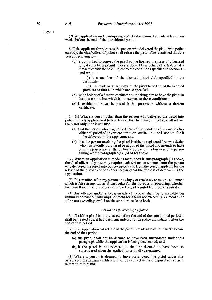SCH. <sup>1</sup>

(2) An application under sub-paragraph (1) above must be made at least four weeks before the end of the transitional period.

6. If the applicant for release is the person who delivered the pistol into police custody, the chief officer of police shall release the pistol if he is satisfied that the person receiving it—

(a) is authorised to convey the pistol to the licensed premises of a licensed pistol club by a permit under section 13 on behalf of a holder of a firearm certificate held subject to the conditions specified in section 12 and who—

(i) is a member of the licensed pistol club specified in the certificate;

(ii) has made arrangements for the pistol to be kept at the licensed premises of that club which are so specified,

- (b) is the holder of a firearm certificate authorising him to have the pistol in his possession, but which is not subject to those conditions;
- (c) is entitled to have the pistol in his possession without a firearm certificate.

7.—(1) Where a person other than the person who delivered the pistol into police custody applies for it to be released, the chief officer of police shall release the pistol only if he is satisfied–

- (a) that the person who originally delivered the pistol into that custody has either disposed of any interest in it or certified that he is content for it to be delivered to the applicant; and
- (b) that the person receiving the pistol is either a registered firearms dealer who has lawfully purchased or acquired the pistol and intends to have it in his possession in the ordinary course of his business or a person falling within paragraph 6(a), (b) or (c) above.

(2) Where an application is made as mentioned in sub-paragraph (1) above, the chief officer of police may require such written statements from the person who delivered the pistol into police custody and from the person applying for the release of the pistol as he considers necessary for the purpose of determining the application.

(3) It is an offence for any person knowingly or recklessly to make a statement which is false in any material particular for the purpose of procuring, whether for himself or for another person, the release of a pistol from police custody.

(4) An offence under sub-paragraph (3) above shall be punishable on summary conviction with imprisonment for a term not exceeding six months or a fine not exceeding level 5 on the standard scale or both.

#### Period of safe-keeping by police

8.—(1) If the pistol is not released before the end of the transitional period it shall be treated as if it had been surrendered to the police immediately after the end of that period.

(2) If an application for release of the pistol is made at least four weeks before the end of that period—

- (a) the pistol shall not be deemed to have been surrendered under this paragraph while the application is being determined; and
- (b) if the pistol is not released, it shall be deemed to have been so surrendered when the application is finally determined.

(3) Where a person is deemed to have surrendered the pistol under this paragraph, his firearm certificate shall be deemed to have expired so far as it relates to that pistol.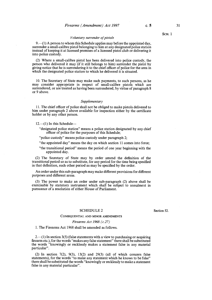ScH. <sup>1</sup>

#### Voluntary surrender of pistols

9.—(1) A person to whom this Schedule applies may before the appointed day, surrender a small-calibre pistol belonging to him at any designated police station instead of keeping it at licensed premises of a licensed pistol club or delivering it into police custody.

(2) Where a small-calibre pistol has been delivered into police custody, the person who delivered it may (if it still belongs to him) surrender the pistol by giving notice that he is surrendering it to the chief officer of police for the area in which the designated police station to which he delivered it is situated.

10. The Secretary of State may make such payments, to such persons, as he may consider appropriate in respect of small-calibre pistols which are surrendered, or are treated as having been surrendered, by virtue of paragraph <sup>8</sup> or 9 above.

#### **Supplementary**

11. The chief officer of police shall not be obliged to make pistols delivered to him under paragraph 2 above available for inspection either by the certificate holder or by any other person.

12.—(1) In this Schedule—

- "designated police station" means a police station designated by any chief officer of police for the purposes of this Schedule;
- "police custody" means police custody under paragraph 2;
- "the appointed day" means the day on which section 11 comes into force;
- "the transitional period" means the period of one year beginning with the appointed day.

(2) The Secretary of State may by order amend the definition of the transitional period so as to substitute, for any period for the time being specified in that definition, such other period as may be specified by the order.

An order under this sub-paragraph may make different provisions for different purposes and different areas.

(3) The power to make an order under sub-paragraph (2) above shall be exercisable by statutory instrument which shall be subject to annulment in pursuance of a resolution of either House of Parliament.

#### SCHEDULE 2 Section 52.

#### CONSEQUENTIAL AND MINOR AMENDMENTS

#### Firearms Act 1968 (c.27)

1. The Firearms Act 1968 shall be amended as follows.

 $2.-(1)$  In section 3(5) (false statements with a view to purchasing or acquiring firearm etc.), for the words "makes any false statement" there shall be substituted the words "knowingly or recklessly makes a statement false in any material particular".

(2) In section 7(2), 9(3), 13(2) and 29(3) (all of which concern false statements), for the words "to make any statement which he knows to be false" there shall be substituted the words "knowingly or recklessly to make a statement false in any material particular".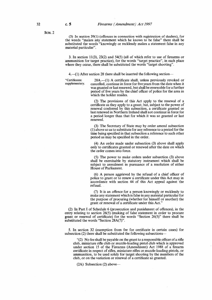SCH. 2

(3) In section 39(1) (offences in connection with registration of dealers), for the words "makes any statement which he knows to be false" there shall be substituted the words "knowingly or recklessly makes a statement false in any material particular".

3. In section 11(3), 23(2) and 54(5) (all of which refer to use of firearms or ammunition for target practice), for the words "target practice", in each place where they occur, there shall be substituted the words "target shooting".

4.—(1) After section 28 there shall be inserted the following section—

"Certificates: 28A.—(1) A certificate shall, unless previously revoked or cancelled, continue in force for five years from the date when it was granted or last renewed, but shall be renewable for a further period of five years by the chief officer of police for the area in which the holder resides.

> (2) The provisions of this Act apply to the renewal of a certificate as they apply to a grant; but, subject to the power of renewal conferred by this subsection, a certificate granted or last renewed in Northern Ireland shall not continue in force for a period longer than that for which it was so granted or last renewed.

> (3) The Secretary of State may by order amend subsection (1) above so as to substitute for any reference to a period for the time being specified in that subsection a reference to such other period as may be specified in the order.

> (4) An order made under subsection (3) above shall apply only to certificates granted or renewed after the date on which the order comes into force.

> (5) The power to make orders under subsection (3) above shall be exercisable by statutory instrument which shall be subject to annulment in pursuance of a resolution of either House of Parliament.

> (6) A person aggrieved by the refusal of a chief officer of police to grant or to renew a certificate under this Act may in accordance with section 44 of this Act appeal against the refusal.

> (7) It is an offence for a person knowingly or recklessly to make any statement which is false in any material particular for the purpose of procuring (whether for himself or another) the grant or renewal of a certificate under this Act."

(2) In Part I of Schedule 6 (prosecution and punishment of offences), in the entry relating to section 26(5) (making of false statement in order to procure grant or renewal of certificate) for the words "Section 26(5)" there shall be substituted the words "Section 28A(7)".

5. In section 32 (exemption from fee for certificate in certain cases) for subsection (2) there shall be substituted the following subsections—

"(2) No fee shall be payable on the grant to a responsible officer of a rifle club, miniature rifle club or muzzle-loading pistol club which is approved under section 15 of the Firearms (Amendment) Act 1988 of a firearm certificate in respect of rifles, miniature rifles or muzzle-loading pistols, or ammunition, to be used solely for target shooting by the members of the club, or on the variation or renewal of a certificate so granted.

(2A) Subsection (2) above—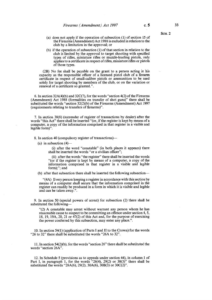- (a) does not apply if the operation of subsection (1) of section 15 of the Firearms (Amendment) Act 1988 is excluded in relation to the club by a limitation in the approval; or
- (b) if the operation of subsection (1) of that section in relation to the club is limited by the approval to target shooting with specified types of rifles, miniature rifles or muzzle-loading pistols, only applies to a certificate in respect of rifles, miniature rifles or pistols of those types.

(2B) No fee shall be payable on the grant to a person acting in his capacity as the responsible officer of a licensed pistol club of a firearm certificate in respect of small-calibre pistols or ammunition to be used solely for target shooting by members of the club, or on the variation or renewal of a certificate so granted.".

6. In section 32A(4)(b) and 32C(7), for the words "section 4(2) of the Firearms (Amendment) Act 1988 (formalities on transfer of shot guns)" there shall be substituted the words "section 32(2)(b) of the Firearms (Amendment) Act 1997 (requirements relating to transfers of firearms)".

7. In section 38(8) (surrender of register of transactions by dealer) after the words "this Act" there shall be inserted "(or, if the register is kept by means of a computer, a copy of the information comprised in that register in a visible and legible form)".

8. In section 40 (compulsory register of transactions)—

(a) in subsection (4)—

(i) after the word "constable" (in both places it appears) there shall be inserted the words "or a civilian officer";

(ii) after the words "the register" there shall be inserted the words "(or if the register is kept by means of a computer, a copy of the information comprised in that register in a visible and legible form);"; and

(b) after that subsection there shall be inserted the following subsection—

"(4A) Every person keeping a register in accordance with this section by means of a computer shall secure that the information comprised in the register can readily be produced in a form in which it is visible and legible and can be taken away.".

9. In section 50 (special powers of arrest) for subsection (2) there shall be substituted the following—

"(2) A constable may arrest without warrant any person whom he has reasonable cause to suspect to be committing an offence under section 4, 5, 18, 19, 19A, 20, 21 or 47(2) of this Act and, for the purpose of exercising the power conferred by this subsection, may enter any place.".

10. In section 54(1) (application of Parts I and II to the Crown) for the words "26 to 32" there shall be substituted the words "26A to 32".

11. In section 54(2)(b), for the words "section 26" there shall be substituted the words "section 26A".

12. In Schedule 5 (provisions as to appeals under section 44), in column 1 of Part I, in paragraph 1, for the words "26(4), 29(2) or 30(3)" there shall be substituted the words "28A(6), 29(2), 30A(6), 30B(3) or 30C(2)".

SCH. 2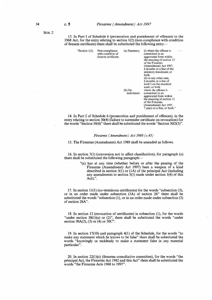SCH. 2

13. In Part I of Schedule 6 (prosecution and punishment of offences) to the 1968 Act, for the entry relating to section 1(2) (non-compliance with condition of firearm certificate) there shall be substituted the following entry—

| "Section 1(2). | Non-compliance<br>with condition of<br>firearm certificate. | (a) Summary            | (i) where the offence is<br>committed in an<br>aggravated form within<br>the meaning of section 12<br>of the Firearms<br>(Amendment) Act 1997,<br>6 months or a fine of the<br>statutory maximum; or<br>both.<br>(ii) in any other case,<br>6 months or a fine of<br>level 5 on the standard |  |
|----------------|-------------------------------------------------------------|------------------------|----------------------------------------------------------------------------------------------------------------------------------------------------------------------------------------------------------------------------------------------------------------------------------------------|--|
|                |                                                             | $(b)$ On<br>indictment | scale; or both.<br>where the offence is<br>committed in an<br>aggravated form within<br>the meaning of section 12<br>of the Firearms<br>(Amendment) Act 1997,<br>7 years or a fine; or both."                                                                                                |  |

14. In Part I of Schedule 6 (prosecution and punishment of offences), in the entry relating to section 30(4) (failure to surrender certificate on revocation) for the words "Section 30(4)" there shall be substituted the words "Section 30D(3)".

#### Firearms (Amendment) Act 1988 (c.45)

15. The Firearms (Amendment) Act 1988 shall be amended as follows.

16. In section 7(1) (conversion not to affect classification), for paragraph (a) there shall be substituted the following paragraph—

> "(a) has at any time (whether before or after the passing of the Firearms (Amendment) Act 1997) been a weapon of a kind described in section  $5(1)$  or  $(1A)$  of the principal Act (including any amendments to section  $5(1)$  made under section  $1(4)$  of this  $Act$ ;".

17. In section 11(1) (co-terminous certificates) for the words "subsection (3), or in an order made under subsection (3A) of section 26" there shall be substituted the words "subsection  $(1)$ , or in an order made under subsection  $(3)$ of section 28A".

18. In section 12 (revocation of certificates) in subsection (I), for the words "under section  $30(1)(a)$  or  $(2)$ ", there shall be substituted the words "under section 30A(2), (3) or (4) or 30C".

19. In section 17(10) and paragraph 4(1) of the Schedule, for the words "to make any statement which he knows to be false" there shall be substituted the words "knowingly or recklessly to make a statement false in any material particular".

20. In section 22(1)(c) (firearms consultative committee), for the words "the principal Act, the Firearms Act 1982 and this Act" there shall be substituted the words "the Firearms Acts 1968 to 1997".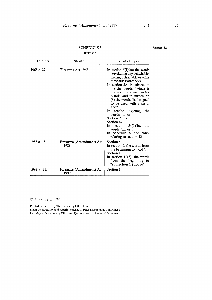| <b>REPEALS</b> |                                   |                                                                                                                                                                                                                                                                                                                                                                                                                                                                                                                                        |  |  |
|----------------|-----------------------------------|----------------------------------------------------------------------------------------------------------------------------------------------------------------------------------------------------------------------------------------------------------------------------------------------------------------------------------------------------------------------------------------------------------------------------------------------------------------------------------------------------------------------------------------|--|--|
| Chapter        | Short title                       | Extent of repeal                                                                                                                                                                                                                                                                                                                                                                                                                                                                                                                       |  |  |
| 1968 c. 27.    | Firearms Act 1968.                | In section $5(1)(ac)$ the words<br>"(excluding any detachable,<br>folding, retractable or other<br>moveable butt-stock)".<br>In section 5A, in subsection<br>(4) the words "which is<br>designed to be used with a<br>pistol" and in subsection<br>(8) the words "is designed<br>to be used with a pistol<br>$and$ ".<br>$23(2)(a)$ ,<br>section<br>the<br>$\ln$<br>words "in, or".<br>Section $28(3)$ .<br>Section 42.<br>$54(5)(b)$ ,<br>In section<br>the<br>words "in, or".<br>In Schedule 6, the entry<br>relating to section 42. |  |  |
| 1988 c. 45.    | Firearms (Amendment) Act<br>1988. | Section 4.<br>In section 9, the words from<br>the beginning to "and".<br>Section 10.<br>In section $12(5)$ , the words<br>from the beginning to<br>"subsection (1) above".                                                                                                                                                                                                                                                                                                                                                             |  |  |
| 1992. c. 31.   | Firearms (Amendment) Act<br>1992. | Section 1.                                                                                                                                                                                                                                                                                                                                                                                                                                                                                                                             |  |  |

#### SCHEDULE 3 Section 52.

© Crown copyright 1997

Printed in the UK by The Stationery Office Limited under the authority and superintendence of Peter Macdonald, Controller of Her Majesty's Stationery Office and Queen's Printer of Acts of Parliament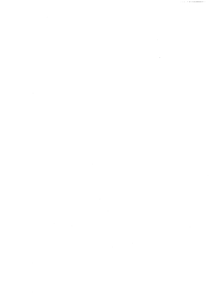$\label{eq:2.1} \frac{1}{\sqrt{2}}\left(\frac{1}{\sqrt{2}}\right)^{2} \left(\frac{1}{\sqrt{2}}\right)^{2} \left(\frac{1}{\sqrt{2}}\right)^{2} \left(\frac{1}{\sqrt{2}}\right)^{2} \left(\frac{1}{\sqrt{2}}\right)^{2} \left(\frac{1}{\sqrt{2}}\right)^{2} \left(\frac{1}{\sqrt{2}}\right)^{2} \left(\frac{1}{\sqrt{2}}\right)^{2} \left(\frac{1}{\sqrt{2}}\right)^{2} \left(\frac{1}{\sqrt{2}}\right)^{2} \left(\frac{1}{\sqrt{2}}\right)^{2} \left(\$ 

 $\label{eq:2.1} \frac{1}{\sqrt{2\pi}}\int_{\mathbb{R}^3}\frac{1}{\sqrt{2\pi}}\left(\frac{1}{\sqrt{2\pi}}\right)^2\frac{1}{\sqrt{2\pi}}\int_{\mathbb{R}^3}\frac{1}{\sqrt{2\pi}}\frac{1}{\sqrt{2\pi}}\frac{1}{\sqrt{2\pi}}\frac{1}{\sqrt{2\pi}}\frac{1}{\sqrt{2\pi}}\frac{1}{\sqrt{2\pi}}\frac{1}{\sqrt{2\pi}}\frac{1}{\sqrt{2\pi}}\frac{1}{\sqrt{2\pi}}\frac{1}{\sqrt{2\pi}}\frac{1}{\sqrt{2\pi}}\frac{$